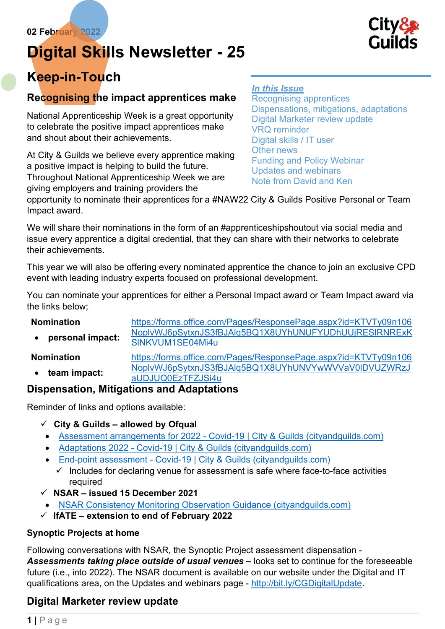# Digital Skills Newsletter - 25



# Keep-in-Touch

# Recognising the impact apprentices make

National Apprenticeship Week is a great opportunity to celebrate the positive impact apprentices make and shout about their achievements.

At City & Guilds we believe every apprentice making a positive impact is helping to build the future. Throughout National Apprenticeship Week we are giving employers and training providers the

#### In this Issue

Recognising apprentices Dispensations, mitigations, adaptations Digital Marketer review update VRQ reminder Digital skills / IT user Other news Funding and Policy Webinar Updates and webinars Note from David and Ken

opportunity to nominate their apprentices for a #NAW22 City & Guilds Positive Personal or Team Impact award.

We will share their nominations in the form of an #apprenticeshipshoutout via social media and issue every apprentice a digital credential, that they can share with their networks to celebrate their achievements.

This year we will also be offering every nominated apprentice the chance to join an exclusive CPD event with leading industry experts focused on professional development.

You can nominate your apprentices for either a Personal Impact award or Team Impact award via the links below;

| <b>Nomination</b> | https://forms.office.com/Pages/ResponsePage.aspx?id=KTVTy09n106           |
|-------------------|---------------------------------------------------------------------------|
| personal impact:  | NoplvWJ6pSytxnJS3fBJAlq5BQ1X8UYhUNUFYUDhUUjRESIRNRExK<br>SINKVUM1SE04Mi4u |
| <b>Nomination</b> | https://forms.office.com/Pages/ResponsePage.aspx?id=KTVTy09n106           |
| team impact:      | NoplvWJ6pSytxnJS3fBJAIq5BQ1X8UYhUNVYwWVVaV0IDVUZWRzJ<br>aUDJUQ0EzTFZJSi4u |

# Dispensation, Mitigations and Adaptations

Reminder of links and options available:

- $\checkmark$  City & Guilds allowed by Ofqual
- Assessment arrangements for 2022 Covid-19 | City & Guilds (cityandguilds.com)
- Adaptations 2022 Covid-19 | City & Guilds (cityandguilds.com)
- End-point assessment Covid-19 | City & Guilds (cityandguilds.com)
	- $\checkmark$  Includes for declaring venue for assessment is safe where face-to-face activities required
- $\checkmark$  NSAR issued 15 December 2021
	- NSAR Consistency Monitoring Observation Guidance (cityandguilds.com)
- $\checkmark$  IfATE extension to end of February 2022

#### Synoptic Projects at home

Following conversations with NSAR, the Synoptic Project assessment dispensation - Assessments taking place outside of usual venues - looks set to continue for the foreseeable future (i.e., into 2022). The NSAR document is available on our website under the Digital and IT qualifications area, on the Updates and webinars page - http://bit.ly/CGDigitalUpdate.

# Digital Marketer review update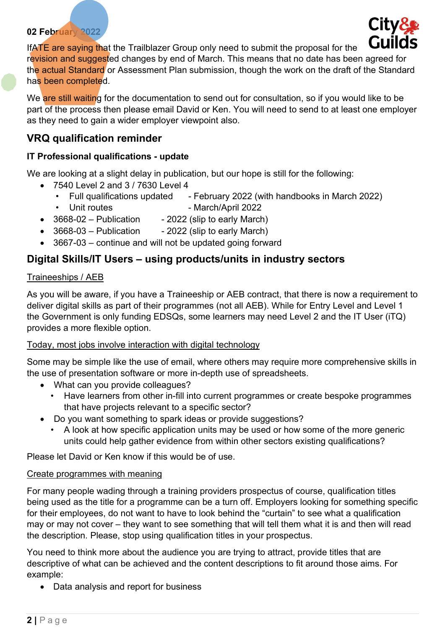

IfATE are saying that the Trailblazer Group only need to submit the proposal for the revision and suggested changes by end of March. This means that no date has been agreed for the actual Standard or Assessment Plan submission, though the work on the draft of the Standard has been completed.

We are still waiting for the documentation to send out for consultation, so if you would like to be part of the process then please email David or Ken. You will need to send to at least one employer as they need to gain a wider employer viewpoint also.

# VRQ qualification reminder

#### IT Professional qualifications - update

We are looking at a slight delay in publication, but our hope is still for the following:

- 7540 Level 2 and 3 / 7630 Level 4
	- Full qualifications updated February 2022 (with handbooks in March 2022)
	- Unit routes  **March/April 2022**
- $\bullet$  3668-02 Publication 2022 (slip to early March)
- $3668-03$  Publication 2022 (slip to early March)
- 3667-03 continue and will not be updated going forward

## Digital Skills/IT Users – using products/units in industry sectors

#### Traineeships / AEB

As you will be aware, if you have a Traineeship or AEB contract, that there is now a requirement to deliver digital skills as part of their programmes (not all AEB). While for Entry Level and Level 1 the Government is only funding EDSQs, some learners may need Level 2 and the IT User (iTQ) provides a more flexible option.

#### Today, most jobs involve interaction with digital technology

Some may be simple like the use of email, where others may require more comprehensive skills in the use of presentation software or more in-depth use of spreadsheets.

- What can you provide colleagues?
	- Have learners from other in-fill into current programmes or create bespoke programmes that have projects relevant to a specific sector?
- Do you want something to spark ideas or provide suggestions?
	- A look at how specific application units may be used or how some of the more generic units could help gather evidence from within other sectors existing qualifications?

Please let David or Ken know if this would be of use.

#### Create programmes with meaning

For many people wading through a training providers prospectus of course, qualification titles being used as the title for a programme can be a turn off. Employers looking for something specific for their employees, do not want to have to look behind the "curtain" to see what a qualification may or may not cover – they want to see something that will tell them what it is and then will read the description. Please, stop using qualification titles in your prospectus.

You need to think more about the audience you are trying to attract, provide titles that are descriptive of what can be achieved and the content descriptions to fit around those aims. For example:

• Data analysis and report for business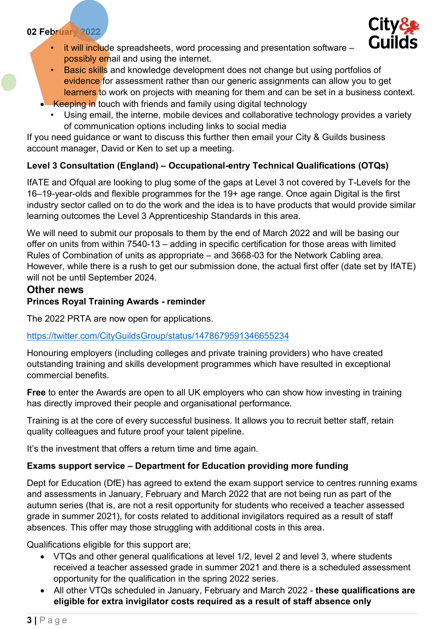

- it will include spreadsheets, word processing and presentation software possibly email and using the internet.
- Basic skills and knowledge development does not change but using portfolios of evidence for assessment rather than our generic assignments can allow you to get learners to work on projects with meaning for them and can be set in a business context.
- Keeping in touch with friends and family using digital technology
	- Using email, the interne, mobile devices and collaborative technology provides a variety of communication options including links to social media

If you need guidance or want to discuss this further then email your City & Guilds business account manager, David or Ken to set up a meeting.

## Level 3 Consultation (England) – Occupational-entry Technical Qualifications (OTQs)

IfATE and Ofqual are looking to plug some of the gaps at Level 3 not covered by T-Levels for the 16–19-year-olds and flexible programmes for the 19+ age range. Once again Digital is the first industry sector called on to do the work and the idea is to have products that would provide similar learning outcomes the Level 3 Apprenticeship Standards in this area.

We will need to submit our proposals to them by the end of March 2022 and will be basing our offer on units from within 7540-13 – adding in specific certification for those areas with limited Rules of Combination of units as appropriate – and 3668-03 for the Network Cabling area. However, while there is a rush to get our submission done, the actual first offer (date set by IfATE) will not be until September 2024.

#### Other news

#### Princes Royal Training Awards - reminder

The 2022 PRTA are now open for applications.

#### https://twitter.com/CityGuildsGroup/status/1478679591346655234

Honouring employers (including colleges and private training providers) who have created outstanding training and skills development programmes which have resulted in exceptional commercial benefits.

Free to enter the Awards are open to all UK employers who can show how investing in training has directly improved their people and organisational performance.

Training is at the core of every successful business. It allows you to recruit better staff, retain quality colleagues and future proof your talent pipeline.

It's the investment that offers a return time and time again.

#### Exams support service – Department for Education providing more funding

Dept for Education (DfE) has agreed to extend the exam support service to centres running exams and assessments in January, February and March 2022 that are not being run as part of the autumn series (that is, are not a resit opportunity for students who received a teacher assessed grade in summer 2021), for costs related to additional invigilators required as a result of staff absences. This offer may those struggling with additional costs in this area.

Qualifications eligible for this support are;

- VTQs and other general qualifications at level 1/2, level 2 and level 3, where students received a teacher assessed grade in summer 2021 and there is a scheduled assessment opportunity for the qualification in the spring 2022 series.
- All other VTQs scheduled in January, February and March 2022 these qualifications are eligible for extra invigilator costs required as a result of staff absence only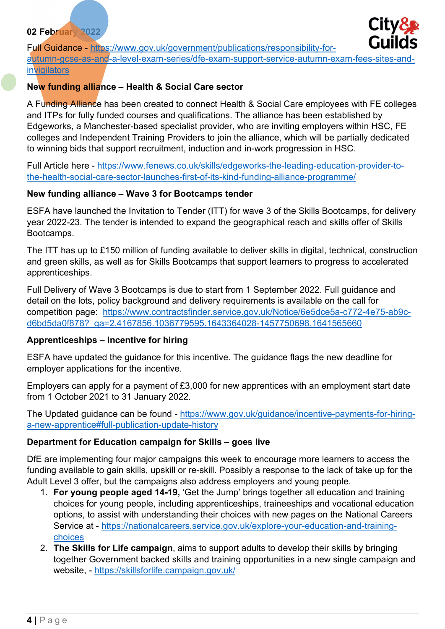

Full Guidance - https://www.gov.uk/government/publications/responsibility-forautumn-gcse-as-and-a-level-exam-series/dfe-exam-support-service-autumn-exam-fees-sites-andinvigilators

#### New funding alliance – Health & Social Care sector

A Funding Alliance has been created to connect Health & Social Care employees with FE colleges and ITPs for fully funded courses and qualifications. The alliance has been established by Edgeworks, a Manchester-based specialist provider, who are inviting employers within HSC, FE colleges and Independent Training Providers to join the alliance, which will be partially dedicated to winning bids that support recruitment, induction and in-work progression in HSC.

Full Article here - https://www.fenews.co.uk/skills/edgeworks-the-leading-education-provider-tothe-health-social-care-sector-launches-first-of-its-kind-funding-alliance-programme/

#### New funding alliance – Wave 3 for Bootcamps tender

ESFA have launched the Invitation to Tender (ITT) for wave 3 of the Skills Bootcamps, for delivery year 2022-23. The tender is intended to expand the geographical reach and skills offer of Skills Bootcamps.

The ITT has up to £150 million of funding available to deliver skills in digital, technical, construction and green skills, as well as for Skills Bootcamps that support learners to progress to accelerated apprenticeships.

Full Delivery of Wave 3 Bootcamps is due to start from 1 September 2022. Full guidance and detail on the lots, policy background and delivery requirements is available on the call for competition page: https://www.contractsfinder.service.gov.uk/Notice/6e5dce5a-c772-4e75-ab9cd6bd5da0f878?\_ga=2.4167856.1036779595.1643364028-1457750698.1641565660

#### Apprenticeships – Incentive for hiring

ESFA have updated the guidance for this incentive. The guidance flags the new deadline for employer applications for the incentive.

Employers can apply for a payment of £3,000 for new apprentices with an employment start date from 1 October 2021 to 31 January 2022.

The Updated guidance can be found - https://www.gov.uk/guidance/incentive-payments-for-hiringa-new-apprentice#full-publication-update-history

#### Department for Education campaign for Skills – goes live

DfE are implementing four major campaigns this week to encourage more learners to access the funding available to gain skills, upskill or re-skill. Possibly a response to the lack of take up for the Adult Level 3 offer, but the campaigns also address employers and young people.

- 1. For young people aged 14-19, 'Get the Jump' brings together all education and training choices for young people, including apprenticeships, traineeships and vocational education options, to assist with understanding their choices with new pages on the National Careers Service at - https://nationalcareers.service.gov.uk/explore-your-education-and-trainingchoices
- 2. The Skills for Life campaign, aims to support adults to develop their skills by bringing together Government backed skills and training opportunities in a new single campaign and website, - https://skillsforlife.campaign.gov.uk/